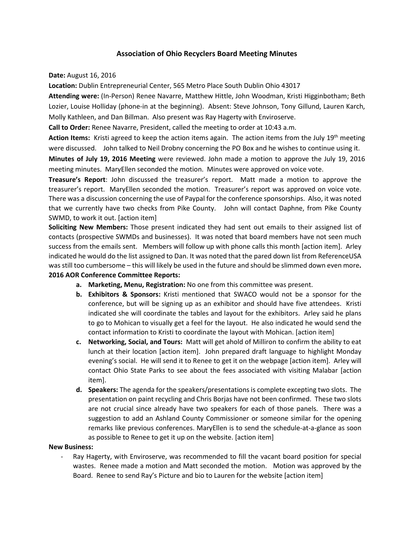## **Association of Ohio Recyclers Board Meeting Minutes**

**Date:** August 16, 2016

**Location:** Dublin Entrepreneurial Center, 565 Metro Place South Dublin Ohio 43017

**Attending were:** (In-Person) Renee Navarre, Matthew Hittle, John Woodman, Kristi Higginbotham; Beth Lozier, Louise Holliday (phone-in at the beginning). Absent: Steve Johnson, Tony Gillund, Lauren Karch, Molly Kathleen, and Dan Billman. Also present was Ray Hagerty with Enviroserve.

**Call to Order:** Renee Navarre, President, called the meeting to order at 10:43 a.m.

**Action Items:** Kristi agreed to keep the action items again. The action items from the July 19<sup>th</sup> meeting were discussed. John talked to Neil Drobny concerning the PO Box and he wishes to continue using it.

**Minutes of July 19, 2016 Meeting** were reviewed. John made a motion to approve the July 19, 2016 meeting minutes. MaryEllen seconded the motion. Minutes were approved on voice vote.

**Treasure's Report**: John discussed the treasurer's report. Matt made a motion to approve the treasurer's report. MaryEllen seconded the motion. Treasurer's report was approved on voice vote. There was a discussion concerning the use of Paypal for the conference sponsorships. Also, it was noted that we currently have two checks from Pike County. John will contact Daphne, from Pike County SWMD, to work it out. [action item]

**Soliciting New Members:** Those present indicated they had sent out emails to their assigned list of contacts (prospective SWMDs and businesses). It was noted that board members have not seen much success from the emails sent. Members will follow up with phone calls this month [action item]. Arley indicated he would do the list assigned to Dan. It was noted that the pared down list from ReferenceUSA was still too cumbersome – this will likely be used in the future and should be slimmed down even more**.**

## **2016 AOR Conference Committee Reports:**

- **a. Marketing, Menu, Registration:** No one from this committee was present.
- **b. Exhibitors & Sponsors:** Kristi mentioned that SWACO would not be a sponsor for the conference, but will be signing up as an exhibitor and should have five attendees. Kristi indicated she will coordinate the tables and layout for the exhibitors. Arley said he plans to go to Mohican to visually get a feel for the layout. He also indicated he would send the contact information to Kristi to coordinate the layout with Mohican. [action item]
- **c. Networking, Social, and Tours:** Matt will get ahold of Milliron to confirm the ability to eat lunch at their location [action item]. John prepared draft language to highlight Monday evening's social. He will send it to Renee to get it on the webpage [action item]. Arley will contact Ohio State Parks to see about the fees associated with visiting Malabar [action item].
- **d. Speakers:** The agenda for the speakers/presentations is complete excepting two slots. The presentation on paint recycling and Chris Borjas have not been confirmed. These two slots are not crucial since already have two speakers for each of those panels. There was a suggestion to add an Ashland County Commissioner or someone similar for the opening remarks like previous conferences. MaryEllen is to send the schedule-at-a-glance as soon as possible to Renee to get it up on the website. [action item]

## **New Business:**

Ray Hagerty, with Enviroserve, was recommended to fill the vacant board position for special wastes. Renee made a motion and Matt seconded the motion. Motion was approved by the Board. Renee to send Ray's Picture and bio to Lauren for the website [action item]